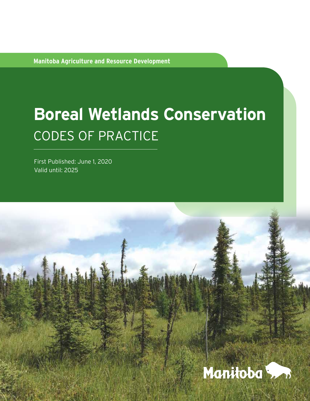**Manitoba Agriculture and Resource Development**

# **Boreal Wetlands Conservation**  CODES OF PRACTICE

First Published: June 1, 2020 Valid until: 2025

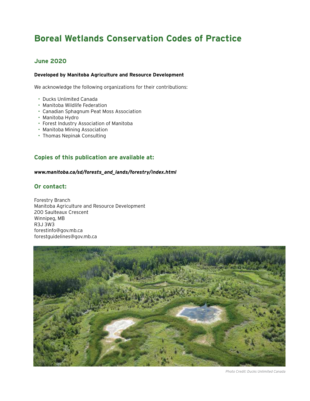# **Boreal Wetlands Conservation Codes of Practice**

### **June 2020**

#### **Developed by Manitoba Agriculture and Resource Development**

We acknowledge the following organizations for their contributions:

- Ducks Unlimited Canada
- Manitoba Wildlife Federation
- Canadian Sphagnum Peat Moss Association
- Manitoba Hydro
- Forest Industry Association of Manitoba
- Manitoba Mining Association
- Thomas Nepinak Consulting

#### **Copies of this publication are available at:**

#### *[www.manitoba.ca/sd/forests\\_and\\_lands/forestry/index.html](http://www.manitoba.ca/sd/forests_and_lands/forestry/index.html)*

### **Or contact:**

Forestry Branch Manitoba Agriculture and Resource Development 200 Saulteaux Crescent Winnipeg, MB R3J 3W3 [forestinfo@gov.mb.ca](mailto:?subject=) [forestguidelines@gov.mb.ca](mailto:?subject=)



*Photo Credit: Ducks Unlimited Canada*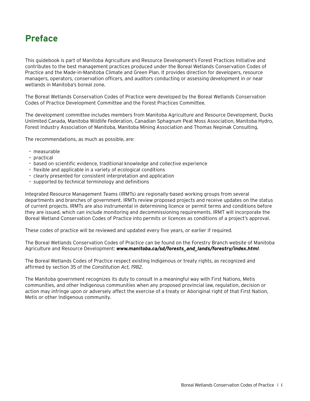# **Preface**

This guidebook is part of Manitoba Agriculture and Resource Development's Forest Practices Initiative and contributes to the best management practices produced under the Boreal Wetlands Conservation Codes of Practice and the Made-in-Manitoba Climate and Green Plan. It provides direction for developers, resource managers, operators, conservation officers, and auditors conducting or assessing development in or near wetlands in Manitoba's boreal zone.

The Boreal Wetlands Conservation Codes of Practice were developed by the Boreal Wetlands Conservation Codes of Practice Development Committee and the Forest Practices Committee.

The development committee includes members from Manitoba Agriculture and Resource Development, Ducks Unlimited Canada, Manitoba Wildlife Federation, Canadian Sphagnum Peat Moss Association, Manitoba Hydro, Forest Industry Association of Manitoba, Manitoba Mining Association and Thomas Nepinak Consulting.

The recommendations, as much as possible, are:

- measurable
- practical
- based on scientific evidence, traditional knowledge and collective experience
- flexible and applicable in a variety of ecological conditions
- clearly presented for consistent interpretation and application
- supported by technical terminology and definitions

Integrated Resource Management Teams (IRMTs) are regionally-based working groups from several departments and branches of government. IRMTs review proposed projects and receive updates on the status of current projects. IRMTs are also instrumental in determining licence or permit terms and conditions before they are issued, which can include monitoring and decommissioning requirements. IRMT will incorporate the Boreal Wetland Conservation Codes of Practice into permits or licences as conditions of a project's approval.

These codes of practice will be reviewed and updated every five years, or earlier if required.

The Boreal Wetlands Conservation Codes of Practice can be found on the Forestry Branch website of Manitoba Agriculture and Resource Development: *[www.manitoba.ca/sd/forests\\_and\\_lands/forestry/index.html](http://www.manitoba.ca/sd/forests_and_lands/forestry/index.html)*.

The Boreal Wetlands Codes of Practice respect existing Indigenous or treaty rights, as recognized and affirmed by section 35 of the *Constitution Act, 1982*.

The Manitoba government recognizes its duty to consult in a meaningful way with First Nations, Metis communities, and other Indigenous communities when any proposed provincial law, regulation, decision or action may infringe upon or adversely affect the exercise of a treaty or Aboriginal right of that First Nation, Metis or other Indigenous community.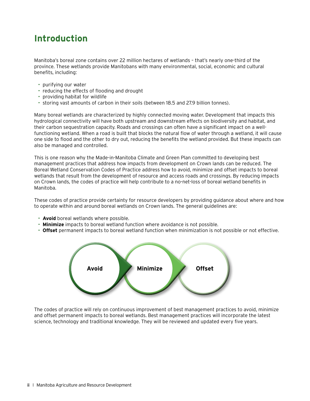# **Introduction**

Manitoba's boreal zone contains over 22 million hectares of wetlands – that's nearly one-third of the province. These wetlands provide Manitobans with many environmental, social, economic and cultural benefits, including:

- purifying our water
- reducing the effects of flooding and drought
- providing habitat for wildlife
- storing vast amounts of carbon in their soils (between 18.5 and 27.9 billion tonnes).

Many boreal wetlands are characterized by highly connected moving water. Development that impacts this hydrological connectivity will have both upstream and downstream effects on biodiversity and habitat, and their carbon sequestration capacity. Roads and crossings can often have a significant impact on a wellfunctioning wetland. When a road is built that blocks the natural flow of water through a wetland, it will cause one side to flood and the other to dry out, reducing the benefits the wetland provided. But these impacts can also be managed and controlled.

This is one reason why the Made-in-Manitoba Climate and Green Plan committed to developing best management practices that address how impacts from development on Crown lands can be reduced. The Boreal Wetland Conservation Codes of Practice address how to avoid, minimize and offset impacts to boreal wetlands that result from the development of resource and access roads and crossings. By reducing impacts on Crown lands, the codes of practice will help contribute to a no-net-loss of boreal wetland benefits in Manitoba.

These codes of practice provide certainty for resource developers by providing guidance about where and how to operate within and around boreal wetlands on Crown lands. The general guidelines are:

- **Avoid** boreal wetlands where possible.
- **Minimize** impacts to boreal wetland function where avoidance is not possible.
- **Offset** permanent impacts to boreal wetland function when minimization is not possible or not effective.



The codes of practice will rely on continuous improvement of best management practices to avoid, minimize and offset permanent impacts to boreal wetlands. Best management practices will incorporate the latest science, technology and traditional knowledge. They will be reviewed and updated every five years.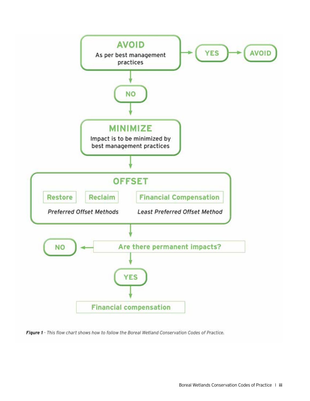

Figure 1 - This flow chart shows how to follow the Boreal Wetland Conservation Codes of Practice.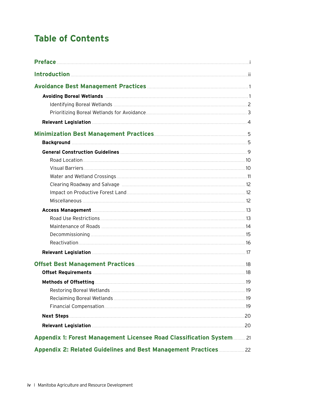# **Table of Contents**

| Appendix 1: Forest Management Licensee Road Classification System  21 |  |
|-----------------------------------------------------------------------|--|
| Appendix 2: Related Guidelines and Best Management Practices 22       |  |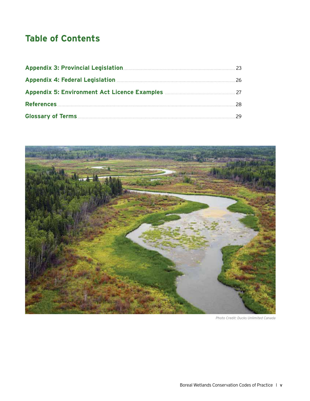# **Table of Contents**



*Photo Credit: Ducks Unlimited Canada*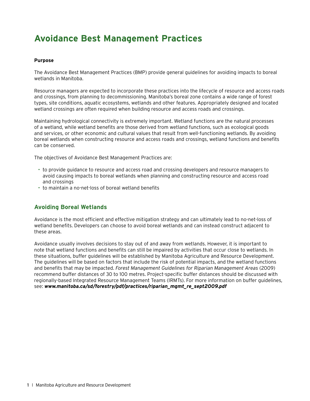# **Avoidance Best Management Practices**

#### **Purpose**

The Avoidance Best Management Practices (BMP) provide general guidelines for avoiding impacts to boreal wetlands in Manitoba.

Resource managers are expected to incorporate these practices into the lifecycle of resource and access roads and crossings, from planning to decommissioning. Manitoba's boreal zone contains a wide range of forest types, site conditions, aquatic ecosystems, wetlands and other features. Appropriately designed and located wetland crossings are often required when building resource and access roads and crossings.

Maintaining hydrological connectivity is extremely important. Wetland functions are the natural processes of a wetland, while wetland benefits are those derived from wetland functions, such as ecological goods and services, or other economic and cultural values that result from well-functioning wetlands. By avoiding boreal wetlands when constructing resource and access roads and crossings, wetland functions and benefits can be conserved.

The objectives of Avoidance Best Management Practices are:

- to provide guidance to resource and access road and crossing developers and resource managers to avoid causing impacts to boreal wetlands when planning and constructing resource and access road and crossings
- to maintain a no-net-loss of boreal wetland benefits

#### **Avoiding Boreal Wetlands**

Avoidance is the most efficient and effective mitigation strategy and can ultimately lead to no-net-loss of wetland benefits. Developers can choose to avoid boreal wetlands and can instead construct adjacent to these areas.

Avoidance usually involves decisions to stay out of and away from wetlands. However, it is important to note that wetland functions and benefits can still be impaired by activities that occur close to wetlands. In these situations, buffer guidelines will be established by Manitoba Agriculture and Resource Development. The guidelines will be based on factors that include the risk of potential impacts, and the wetland functions and benefits that may be impacted. *Forest Management Guidelines for Riparian Management Areas* (2009) recommend buffer distances of 30 to 100 metres. Project-specific buffer distances should be discussed with regionally-based Integrated Resource Management Teams (IRMTs). For more information on buffer guidelines, see: *[www.manitoba.ca/sd/forestry/pdf/practices/riparian\\_mgmt\\_re\\_sept2009.pdf](http://www.manitoba.ca/sd/forestry/pdf/practices/riparian_mgmt_re_sept2009.pdf)*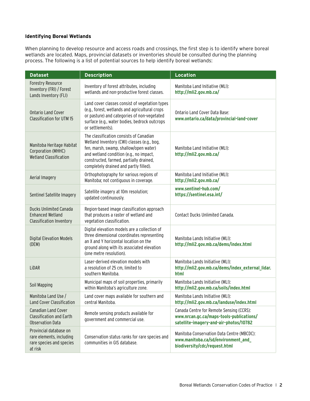#### **Identifying Boreal Wetlands**

When planning to develop resource and access roads and crossings, the first step is to identify where boreal wetlands are located. Maps, provincial datasets or inventories should be consulted during the planning process. The following is a list of potential sources to help identify boreal wetlands:

| <b>Dataset</b>                                                                              | <b>Description</b>                                                                                                                                                                                                                                               | <b>Location</b>                                                                                                                |  |
|---------------------------------------------------------------------------------------------|------------------------------------------------------------------------------------------------------------------------------------------------------------------------------------------------------------------------------------------------------------------|--------------------------------------------------------------------------------------------------------------------------------|--|
| <b>Forestry Resource</b><br>Inventory (FRI) / Forest<br>Lands Inventory (FLI)               | Inventory of forest attributes, including<br>wetlands and non-productive forest classes.                                                                                                                                                                         | Manitoba Land Initiative (MLI):<br>http://mli2.gov.mb.ca/                                                                      |  |
| <b>Ontario Land Cover</b><br><b>Classification for UTM 15</b>                               | Land cover classes consist of vegetation types<br>(e.g., forest, wetlands and agricultural crops<br>or pasture) and categories of non-vegetated<br>surface (e.g., water bodies, bedrock outcrops<br>or settlements).                                             | Ontario Land Cover Data Base:<br>www.ontario.ca/data/provincial-land-cover                                                     |  |
| Manitoba Heritage Habitat<br>Corporation (MHHC)<br><b>Wetland Classification</b>            | The classification consists of Canadian<br>Wetland Inventory (CWI) classes (e.g., bog,<br>fen, marsh, swamp, shallow/open water)<br>and wetland condition (e.g., no impact,<br>constructed, farmed, partially drained,<br>completely drained and partly filled). | Manitoba Land Initiative (MLI):<br>http://mli2.gov.mb.ca/                                                                      |  |
| Aerial Imagery                                                                              | Orthophotography for various regions of<br>Manitoba; not contiguous in coverage.                                                                                                                                                                                 | Manitoba Land Initiative (MLI):<br>http://mli2.gov.mb.ca/                                                                      |  |
| Sentinel Satellite Imagery                                                                  | Satellite imagery at 10m resolution;<br>updated continuously.                                                                                                                                                                                                    | www.sentinel-hub.com/<br>https://sentinel.esa.int/                                                                             |  |
| <b>Ducks Unlimited Canada</b><br><b>Enhanced Wetland</b><br><b>Classification Inventory</b> | Region-based image classification approach<br>that produces a raster of wetland and<br>vegetation classification.                                                                                                                                                | Contact Ducks Unlimited Canada.                                                                                                |  |
| <b>Digital Elevation Models</b><br>(DEM)                                                    | Digital elevation models are a collection of<br>three dimensional coordinates representing<br>an X and Y horizontal location on the<br>ground along with its associated elevation<br>(one metre resolution).                                                     | Manitoba Lands Initiative (MLI):<br>http://mli2.gov.mb.ca/dems/index.html                                                      |  |
| LiDAR                                                                                       | Laser-derived elevation models with<br>a resolution of 25 cm, limited to<br>southern Manitoba.                                                                                                                                                                   | Manitoba Lands Initiative (MLI):<br>http://mli2.gov.mb.ca/dems/index_external_lidar.<br>html                                   |  |
| Soil Mapping                                                                                | Municipal maps of soil properties, primarily<br>within Manitoba's agriculture zone.                                                                                                                                                                              | Manitoba Lands Initiative (MLI):<br>http://mli2.gov.mb.ca/soils/index.html                                                     |  |
| Manitoba Land Use /<br><b>Land Cover Classification</b>                                     | Land cover maps available for southern and<br>central Manitoba.                                                                                                                                                                                                  | Manitoba Lands Initiative (MLI):<br>http://mli2.gov.mb.ca/landuse/index.html                                                   |  |
| <b>Canadian Land Cover</b><br><b>Classification and Earth</b><br><b>Observation Data</b>    | Remote sensing products available for<br>government and commercial use.                                                                                                                                                                                          | Canada Centre for Remote Sensing (CCRS):<br>www.nrcan.gc.ca/maps-tools-publications/<br>satellite-imagery-and-air-photos/10782 |  |
| Provincial database on<br>rare elements, including<br>rare species and species<br>at risk   | Conservation status ranks for rare species and<br>communities in GIS database.                                                                                                                                                                                   | Manitoba Conservation Data Centre (MBCDC):<br>www.manitoba.ca/sd/environment_and_<br>biodiversity/cdc/request.html             |  |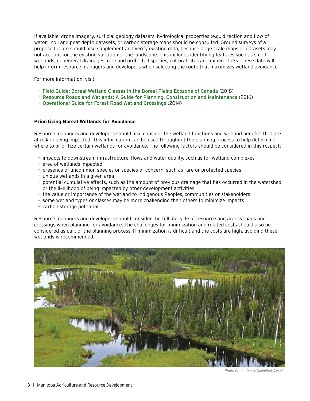If available, drone imagery, surficial geology datasets, hydrological properties (e.g., direction and flow of water), soil and peat depth datasets, or carbon storage maps should be consulted. Ground surveys of a proposed route should also supplement and verify existing data, because large scale maps or datasets may not account for the existing variation of the landscape. This includes identifying features such as small wetlands, ephemeral drainages, rare and protected species, cultural sites and mineral licks. These data will help inform resource managers and developers when selecting the route that maximizes wetland avoidance.

For more information, visit:

- [Field Guide: Boreal Wetland Classes in the Boreal Plains Ecozone of Canada](https://boreal.ducks.ca/publications/field-guide-of-boreal-wetland-classes-in-the-boreal-plains-ecozone-of-canada/) (2018)
- [Resource Roads and Wetlands: A Guide for Planning, Construction and Maintenance](https://boreal.ducks.ca/publications/resource-roads-and-wetlands-a-guide-for-planning-construction-and-maintenance/) (2016)
- [Operational Guide for Forest Road Wetland Crossings](https://boreal.ducks.ca/publications/operational-guide-for-forest-road-wetland-crossings/) (2014)

#### **Prioritizing Boreal Wetlands for Avoidance**

Resource managers and developers should also consider the wetland functions and wetland benefits that are at risk of being impacted. This information can be used throughout the planning process to help determine where to prioritize certain wetlands for avoidance. The following factors should be considered in this respect:

- impacts to downstream infrastructure, flows and water quality, such as for wetland complexes
- area of wetlands impacted
- presence of uncommon species or species of concern, such as rare or protected species
- unique wetlands in a given area
- potential cumulative effects, such as the amount of previous drainage that has occurred in the watershed, or the likelihood of being impacted by other development activities
- the value or importance of the wetland to Indigenous Peoples, communities or stakeholders
- some wetland types or classes may be more challenging than others to minimize impacts
- carbon storage potential

Resource managers and developers should consider the full lifecycle of resource and access roads and crossings when planning for avoidance. The challenges for minimization and related costs should also be considered as part of the planning process. If minimization is difficult and the costs are high, avoiding these wetlands is recommended.



*Photo Credit: Ducks Unlimited Canada*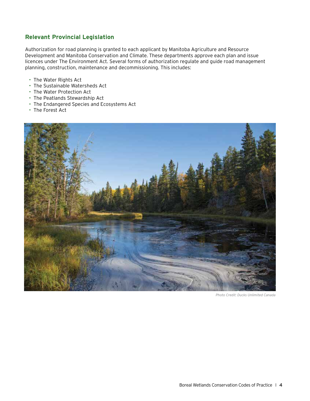### **Relevant Provincial Legislation**

Authorization for road planning is granted to each applicant by Manitoba Agriculture and Resource Development and Manitoba Conservation and Climate. These departments approve each plan and issue licences under The Environment Act. Several forms of authorization regulate and guide road management planning, construction, maintenance and decommissioning. This includes:

- The Water Rights Act
- The Sustainable Watersheds Act
- The Water Protection Act
- The Peatlands Stewardship Act
- The Endangered Species and Ecosystems Act
- The Forest Act



*Photo Credit: Ducks Unlimited Canada*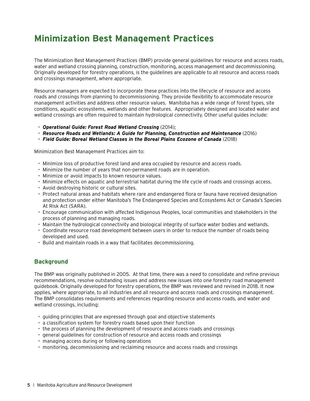# **Minimization Best Management Practices**

The Minimization Best Management Practices (BMP) provide general guidelines for resource and access roads, water and wetland crossing planning, construction, monitoring, access management and decommissioning. Originally developed for forestry operations, is the guidelines are applicable to all resource and access roads and crossings management, where appropriate.

Resource managers are expected to incorporate these practices into the lifecycle of resource and access roads and crossings from planning to decommissioning. They provide flexibility to accommodate resource management activities and address other resource values. Manitoba has a wide range of forest types, site conditions, aquatic ecosystems, wetlands and other features. Appropriately designed and located water and wetland crossings are often required to maintain hydrological connectivity. Other useful guides include:

- *[Operational Guide: Forest Road Wetland Crossing](https://boreal.ducks.ca/publications/operational-guide-for-forest-road-wetland-crossings/)* (2014);
- *[Resource Roads and Wetlands: A Guide for Planning, Construction and Maintenance](https://boreal.ducks.ca/publications/resource-roads-and-wetlands-a-guide-for-planning-construction-and-maintenance/)* (2016)
- *[Field Guide: Boreal Wetland Classes in the Boreal Plains Ecozone of Canada](https://boreal.ducks.ca/publications/field-guide-of-boreal-wetland-classes-in-the-boreal-plains-ecozone-of-canada/)* (2018)

Minimization Best Management Practices aim to:

- Minimize loss of productive forest land and area occupied by resource and access roads.
- Minimize the number of years that non-permanent roads are in operation.
- Minimize or avoid impacts to known resource values.
- Minimize effects on aquatic and terrestrial habitat during the life cycle of roads and crossings access.
- Avoid destroying historic or cultural sites.
- Protect natural areas and habitats where rare and endangered flora or fauna have received designation and protection under either Manitoba's The Endangered Species and Ecosystems Act or Canada's Species At Risk Act (SARA).
- Encourage communication with affected Indigenous Peoples, local communities and stakeholders in the process of planning and managing roads.
- Maintain the hydrological connectivity and biological integrity of surface water bodies and wetlands.
- Coordinate resource road development between users in order to reduce the number of roads being developed and used.
- Build and maintain roads in a way that facilitates decommissioning.

#### **Background**

The BMP was originally published in 2005. At that time, there was a need to consolidate and refine previous recommendations, resolve outstanding issues and address new issues into one forestry road management guidebook. Originally developed for forestry operations, the BMP was reviewed and revised in 2018. It now applies, where appropriate, to all industries and all resource and access roads and crossings management. The BMP consolidates requirements and references regarding resource and access roads, and water and wetland crossings, including:

- guiding principles that are expressed through goal and objective statements
- a classification system for forestry roads based upon their function
- the process of planning the development of resource and access roads and crossings
- general guidelines for construction of resource and access roads and crossings
- managing access during or following operations
- monitoring, decommissioning and reclaiming resource and access roads and crossings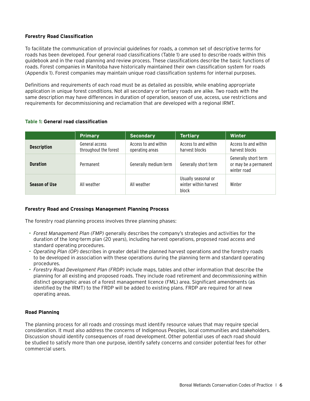#### **Forestry Road Classification**

To facilitate the communication of provincial guidelines for roads, a common set of descriptive terms for roads has been developed. Four general road classifications (Table 1) are used to describe roads within this guidebook and in the road planning and review process. These classifications describe the basic functions of roads. Forest companies in Manitoba have historically maintained their own classification system for roads (Appendix 1). Forest companies may maintain unique road classification systems for internal purposes.

Definitions and requirements of each road must be as detailed as possible, while enabling appropriate application in unique forest conditions. Not all secondary or tertiary roads are alike. Two roads with the same description may have differences in duration of operation, season of use, access, use restrictions and requirements for decommissioning and reclamation that are developed with a regional IRMT.

|                      | Primary                                 | <b>Secondary</b>                        | <b>Tertiary</b>                                       | <b>Winter</b>                                                |
|----------------------|-----------------------------------------|-----------------------------------------|-------------------------------------------------------|--------------------------------------------------------------|
| <b>Description</b>   | General access<br>throughout the forest | Access to and within<br>operating areas | Access to and within<br>harvest blocks                | Access to and within<br>harvest blocks                       |
| <b>Duration</b>      | Permanent                               | Generally medium term                   | Generally short term                                  | Generally short term<br>or may be a permanent<br>winter road |
| <b>Season of Use</b> | All weather                             | All weather                             | Usually seasonal or<br>winter within harvest<br>block | Winter                                                       |

#### **Table 1: General road classification**

#### **Forestry Road and Crossings Management Planning Process**

The forestry road planning process involves three planning phases:

- *Forest Management Plan (FMP)* generally describes the company's strategies and activities for the duration of the long-term plan (20 years), including harvest operations, proposed road access and standard operating procedures.
- *Operating Plan (OP)* describes in greater detail the planned harvest operations and the forestry roads to be developed in association with these operations during the planning term and standard operating procedures.
- *Forestry Road Development Plan (FRDP)* include maps, tables and other information that describe the planning for all existing and proposed roads. They include road retirement and decommissioning within distinct geographic areas of a forest management licence (FML) area. Significant amendments (as identified by the IRMT) to the FRDP will be added to existing plans. FRDP are required for all new operating areas.

#### **Road Planning**

The planning process for all roads and crossings must identify resource values that may require special consideration. It must also address the concerns of Indigenous Peoples, local communities and stakeholders. Discussion should identify consequences of road development. Other potential uses of each road should be studied to satisfy more than one purpose, identify safety concerns and consider potential fees for other commercial users.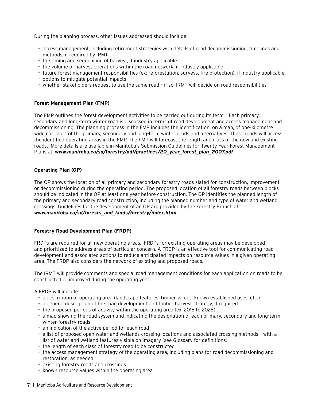During the planning process, other issues addressed should include:

- access management, including retirement strategies with details of road decommissioning, timelines and methods, if required by IRMT
- the timing and sequencing of harvest, if industry applicable
- the volume of harvest operations within the road network, if industry applicable
- future forest management responsibilities (ex: reforestation, surveys, fire protection), if industry applicable
- options to mitigate potential impacts
- whether stakeholders request to use the same road if so, IRMT will decide on road responsibilities

#### **Forest Management Plan (FMP)**

The FMP outlines the forest development activities to be carried out during its term. Each primary, secondary and long-term winter road is discussed in terms of road development and access management and decommissioning. The planning process in the FMP includes the identification, on a map, of one-kilometre wide corridors of the primary, secondary and long-term winter roads and alternatives. These roads will access the identified operating areas in the FMP. The FMP will forecast the length and class of the new and existing roads. More details are available in Manitoba's Submission Guidelines for Twenty Year Forest Management Plans at: *[www.manitoba.ca/sd/forestry/pdf/practices/20\\_year\\_forest\\_plan\\_2007.pdf](http://www.manitoba.ca/sd/forestry/pdf/practices/20_year_forest_plan_2007.pdf)*

#### **Operating Plan (OP)**

The OP shows the location of all primary and secondary forestry roads slated for construction, improvement or decommissioning during the operating period. The proposed location of all forestry roads between blocks should be indicated in the OP at least one year before construction. The OP identifies the planned length of the primary and secondary road construction, including the planned number and type of water and wetland crossings. Guidelines for the development of an OP are provided by the Forestry Branch at: *[www.manitoba.ca/sd/forests\\_and\\_lands/forestry/index.html](http://www.manitoba.ca/sd/forests_and_lands/forestry/index.html)*.

#### **Forestry Road Development Plan (FRDP)**

FRDPs are required for all new operating areas. FRDPs for existing operating areas may be developed and prioritized to address areas of particular concern. A FRDP is an effective tool for communicating road development and associated actions to reduce anticipated impacts on resource values in a given operating area. The FRDP also considers the network of existing and proposed roads.

The IRMT will provide comments and special road management conditions for each application on roads to be constructed or improved during the operating year.

A FRDP will include:

- a description of operating area (landscape features, timber values, known established uses, etc.)
- a general description of the road development and timber harvest strategy, if required
- the proposed periods of activity within the operating area (ex: 2015 to 2025)
- a map showing the road system and indicating the designation of each primary, secondary and long-term winter forestry roads
- an indication of the active period for each road
- a list of proposed open water and wetlands crossing locations and associated crossing methods with a list of water and wetland features visible on imagery (see Glossary for definitions)
- the length of each class of forestry road to be constructed
- the access management strategy of the operating area, including plans for road decommissioning and restoration, as needed
- existing forestry roads and crossings
- known resource values within the operating area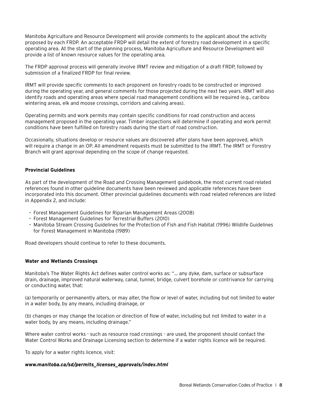Manitoba Agriculture and Resource Development will provide comments to the applicant about the activity proposed by each FRDP. An acceptable FRDP will detail the extent of forestry road development in a specific operating area. At the start of the planning process, Manitoba Agriculture and Resource Development will provide a list of known resource values for the operating area.

The FRDP approval process will generally involve IRMT review and mitigation of a draft FRDP, followed by submission of a finalized FRDP for final review.

IRMT will provide specific comments to each proponent on forestry roads to be constructed or improved during the operating year, and general comments for those projected during the next two years. IRMT will also identify roads and operating areas where special road management conditions will be required (e.g., caribou wintering areas, elk and moose crossings, corridors and calving areas).

Operating permits and work permits may contain specific conditions for road construction and access management proposed in the operating year. Timber inspections will determine if operating and work permit conditions have been fulfilled on forestry roads during the start of road construction.

Occasionally, situations develop or resource values are discovered after plans have been approved, which will require a change in an OP. All amendment requests must be submitted to the IRMT. The IRMT or Forestry Branch will grant approval depending on the scope of change requested.

#### **Provincial Guidelines**

As part of the development of the Road and Crossing Management guidebook, the most current road related references found in other guideline documents have been reviewed and applicable references have been incorporated into this document. Other provincial guidelines documents with road related references are listed in Appendix 2, and include:

- Forest Management Guidelines for Riparian Management Areas (2008)
- Forest Management Guidelines for Terrestrial Buffers (2010)
- Manitoba Stream Crossing Guidelines for the Protection of Fish and Fish Habitat (1996) Wildlife Guidelines for Forest Management in Manitoba (1989)

Road developers should continue to refer to these documents.

#### **Water and Wetlands Crossings**

Manitoba's The Water Rights Act defines water control works as: "... any dyke, dam, surface or subsurface drain, drainage, improved natural waterway, canal, tunnel, bridge, culvert borehole or contrivance for carrying or conducting water, that:

(a) temporarily or permanently alters, or may alter, the flow or level of water, including but not limited to water in a water body, by any means, including drainage, or

(b) changes or may change the location or direction of flow of water, including but not limited to water in a water body, by any means, including drainage."

Where water control works - such as resource road crossings - are used, the proponent should contact the Water Control Works and Drainage Licensing section to determine if a water rights licence will be required.

To apply for a water rights licence, visit:

#### *[www.manitoba.ca/sd/permits\\_licenses\\_approvals/index.html](http://www.manitoba.ca/sd/permits_licenses_approvals/index.html)*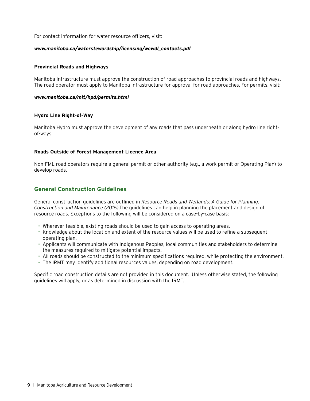For contact information for water resource officers, visit:

#### *[www.manitoba.ca/waterstewardship/licensing/wcwdl\\_contacts.pdf](http://www.manitoba.ca/waterstewardship/licensing/wcwdl_contacts.pdf)*

#### **Provincial Roads and Highways**

Manitoba Infrastructure must approve the construction of road approaches to provincial roads and highways. The road operator must apply to Manitoba Infrastructure for approval for road approaches. For permits, visit:

#### *[www.manitoba.ca/mit/hpd/permits.html](http://www.manitoba.ca/mit/hpd/permits.html)*

#### **Hydro Line Right-of-Way**

Manitoba Hydro must approve the development of any roads that pass underneath or along hydro line rightof-ways.

#### **Roads Outside of Forest Management Licence Area**

Non-FML road operators require a general permit or other authority (e.g., a work permit or Operating Plan) to develop roads.

### **General Construction Guidelines**

General construction guidelines are outlined in *Resource Roads and Wetlands: A Guide for Planning, Construction and Maintenance (2016)*.The guidelines can help in planning the placement and design of resource roads. Exceptions to the following will be considered on a case-by-case basis:

- Wherever feasible, existing roads should be used to gain access to operating areas.
- Knowledge about the location and extent of the resource values will be used to refine a subsequent operating plan.
- Applicants will communicate with Indigenous Peoples, local communities and stakeholders to determine the measures required to mitigate potential impacts.
- All roads should be constructed to the minimum specifications required, while protecting the environment.
- The IRMT may identify additional resources values, depending on road development.

Specific road construction details are not provided in this document. Unless otherwise stated, the following guidelines will apply, or as determined in discussion with the IRMT.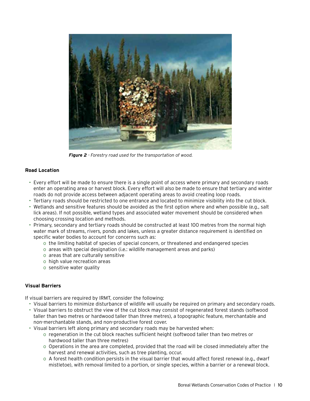

*Figure 2 - Forestry road used for the transportation of wood.*

#### **Road Location**

- Every effort will be made to ensure there is a single point of access where primary and secondary roads enter an operating area or harvest block. Every effort will also be made to ensure that tertiary and winter roads do not provide access between adjacent operating areas to avoid creating loop roads.
- Tertiary roads should be restricted to one entrance and located to minimize visibility into the cut block.
- Wetlands and sensitive features should be avoided as the first option where and when possible (e.g., salt lick areas). If not possible, wetland types and associated water movement should be considered when choosing crossing location and methods.
- Primary, secondary and tertiary roads should be constructed at least 100 metres from the normal high water mark of streams, rivers, ponds and lakes, unless a greater distance requirement is identified on specific water bodies to account for concerns such as:
	- o the limiting habitat of species of special concern, or threatened and endangered species
	- o areas with special designation (i.e.: wildlife management areas and parks)
	- o areas that are culturally sensitive
	- o high value recreation areas
	- o sensitive water quality

#### **Visual Barriers**

If visual barriers are required by IRMT, consider the following:

- Visual barriers to minimize disturbance of wildlife will usually be required on primary and secondary roads.
- Visual barriers to obstruct the view of the cut block may consist of regenerated forest stands (softwood taller than two metres or hardwood taller than three metres), a topographic feature, merchantable and non-merchantable stands, and non-productive forest cover.
- Visual barriers left along primary and secondary roads may be harvested when:
	- o regeneration in the cut block reaches sufficient height (softwood taller than two metres or hardwood taller than three metres)
	- o Operations in the area are completed, provided that the road will be closed immediately after the harvest and renewal activities, such as tree planting, occur.
	- o A forest health condition persists in the visual barrier that would affect forest renewal (e.g., dwarf mistletoe), with removal limited to a portion, or single species, within a barrier or a renewal block.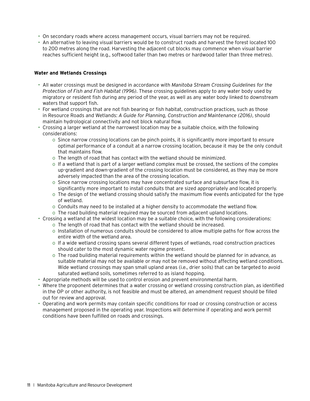- On secondary roads where access management occurs, visual barriers may not be required.
- An alternative to leaving visual barriers would be to construct roads and harvest the forest located 100 to 200 metres along the road. Harvesting the adjacent cut blocks may commence when visual barrier reaches sufficient height (e.g., softwood taller than two metres or hardwood taller than three metres).

#### **Water and Wetlands Crossings**

- All water crossings must be designed in accordance with *Manitoba Stream Crossing Guidelines for the Protection of Fish and Fish Habitat (1996)*. These crossing guidelines apply to any water body used by migratory or resident fish during any period of the year, as well as any water body linked to downstream waters that support fish.
- For wetland crossings that are not fish bearing or fish habitat, construction practices, such as those in Resource Roads and Wetlands: *A Guide for Planning, Construction and Maintenance (2016)*, should maintain hydrological connectivity and not block natural flow.
- Crossing a larger wetland at the narrowest location may be a suitable choice, with the following considerations:
	- o Since narrow crossing locations can be pinch points, it is significantly more important to ensure optimal performance of a conduit at a narrow crossing location, because it may be the only conduit that maintains flow.
	- o The length of road that has contact with the wetland should be minimized.
	- o If a wetland that is part of a larger wetland complex must be crossed, the sections of the complex up-gradient and down-gradient of the crossing location must be considered, as they may be more adversely impacted than the area of the crossing location.
	- o Since narrow crossing locations may have concentrated surface and subsurface flow, it is significantly more important to install conduits that are sized appropriately and located properly.
	- o The design of the wetland crossing should satisfy the maximum flow events anticipated for the type of wetland.
	- o Conduits may need to be installed at a higher density to accommodate the wetland flow.
	- o The road building material required may be sourced from adjacent upland locations.
- Crossing a wetland at the widest location may be a suitable choice, with the following considerations:
	- o The length of road that has contact with the wetland should be increased.
	- o Installation of numerous conduits should be considered to allow multiple paths for flow across the entire width of the wetland area.
	- o If a wide wetland crossing spans several different types of wetlands, road construction practices should cater to the most dynamic water regime present.
	- o The road building material requirements within the wetland should be planned for in advance, as suitable material may not be available or may not be removed without affecting wetland conditions. Wide wetland crossings may span small upland areas (i.e., drier soils) that can be targeted to avoid saturated wetland soils, sometimes referred to as island hopping.
- Appropriate methods will be used to control erosion and prevent environmental harm.
- Where the proponent determines that a water crossing or wetland crossing construction plan, as identified in the OP or other authority, is not feasible and must be altered, an amendment request should be filled out for review and approval.
- Operating and work permits may contain specific conditions for road or crossing construction or access management proposed in the operating year. Inspections will determine if operating and work permit conditions have been fulfilled on roads and crossings.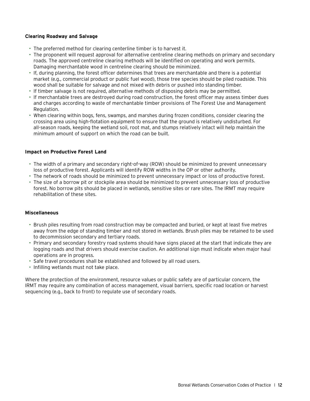#### **Clearing Roadway and Salvage**

- The preferred method for clearing centerline timber is to harvest it.
- The proponent will request approval for alternative centreline clearing methods on primary and secondary roads. The approved centreline clearing methods will be identified on operating and work permits. Damaging merchantable wood in centreline clearing should be minimized.
- If, during planning, the forest officer determines that trees are merchantable and there is a potential market (e.g., commercial product or public fuel wood), those tree species should be piled roadside. This wood shall be suitable for salvage and not mixed with debris or pushed into standing timber.
- If timber salvage is not required, alternative methods of disposing debris may be permitted.
- If merchantable trees are destroyed during road construction, the forest officer may assess timber dues and charges according to waste of merchantable timber provisions of The Forest Use and Management Regulation.
- When clearing within bogs, fens, swamps, and marshes during frozen conditions, consider clearing the crossing area using high-flotation equipment to ensure that the ground is relatively undisturbed. For all-season roads, keeping the wetland soil, root mat, and stumps relatively intact will help maintain the minimum amount of support on which the road can be built.

#### **Impact on Productive Forest Land**

- The width of a primary and secondary right-of-way (ROW) should be minimized to prevent unnecessary loss of productive forest. Applicants will identify ROW widths in the OP or other authority.
- The network of roads should be minimized to prevent unnecessary impact or loss of productive forest.
- The size of a borrow pit or stockpile area should be minimized to prevent unnecessary loss of productive forest. No borrow pits should be placed in wetlands, sensitive sites or rare sites. The IRMT may require rehabilitation of these sites.

#### **Miscellaneous**

- Brush piles resulting from road construction may be compacted and buried, or kept at least five metres away from the edge of standing timber and not stored in wetlands. Brush piles may be retained to be used to decommission secondary and tertiary roads.
- Primary and secondary forestry road systems should have signs placed at the start that indicate they are logging roads and that drivers should exercise caution. An additional sign must indicate when major haul operations are in progress.
- Safe travel procedures shall be established and followed by all road users.
- Infilling wetlands must not take place.

Where the protection of the environment, resource values or public safety are of particular concern, the IRMT may require any combination of access management, visual barriers, specific road location or harvest sequencing (e.g., back to front) to regulate use of secondary roads.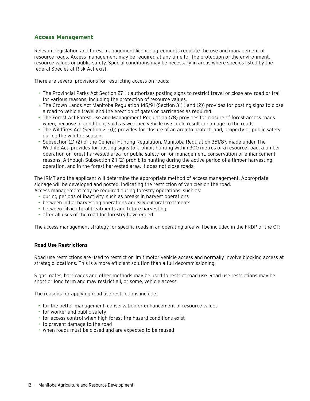### **Access Management**

Relevant legislation and forest management licence agreements regulate the use and management of resource roads. Access management may be required at any time for the protection of the environment, resource values or public safety. Special conditions may be necessary in areas where species listed by the federal Species at Risk Act exist.

There are several provisions for restricting access on roads:

- The Provincial Parks Act Section 27 (l) authorizes posting signs to restrict travel or close any road or trail for various reasons, including the protection of resource values.
- The Crown Lands Act Manitoba Regulation 145/91 (Section 3 (1) and (2)) provides for posting signs to close a road to vehicle travel and the erection of gates or barricades as required.
- The Forest Act Forest Use and Management Regulation (78) provides for closure of forest access roads when, because of conditions such as weather, vehicle use could result in damage to the roads.
- The Wildfires Act (Section 20 (l)) provides for closure of an area to protect land, property or public safety during the wildfire season.
- Subsection 2.1 (2) of the General Hunting Regulation, Manitoba Regulation 351/87, made under The Wildlife Act, provides for posting signs to prohibit hunting within 300 metres of a resource road, a timber operation or forest harvested area for public safety, or for management, conservation or enhancement reasons. Although Subsection 2.1 (2) prohibits hunting during the active period of a timber harvesting operation, and in the forest harvested area, it does not close roads.

The IRMT and the applicant will determine the appropriate method of access management. Appropriate signage will be developed and posted, indicating the restriction of vehicles on the road. Access management may be required during forestry operations, such as:

- during periods of inactivity, such as breaks in harvest operations
- between initial harvesting operations and silvicultural treatments
- between silvicultural treatments and future harvesting
- after all uses of the road for forestry have ended.

The access management strategy for specific roads in an operating area will be included in the FRDP or the OP.

#### **Road Use Restrictions**

Road use restrictions are used to restrict or limit motor vehicle access and normally involve blocking access at strategic locations. This is a more efficient solution than a full decommissioning.

Signs, gates, barricades and other methods may be used to restrict road use. Road use restrictions may be short or long term and may restrict all, or some, vehicle access.

The reasons for applying road use restrictions include:

- for the better management, conservation or enhancement of resource values
- for worker and public safety
- for access control when high forest fire hazard conditions exist
- to prevent damage to the road
- when roads must be closed and are expected to be reused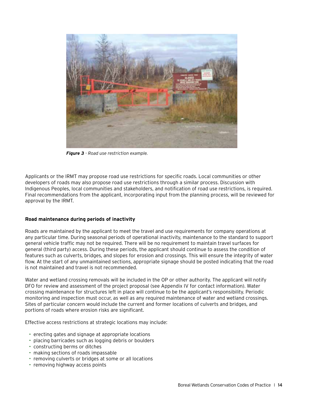

*Figure 3 - Road use restriction example.*

Applicants or the IRMT may propose road use restrictions for specific roads. Local communities or other developers of roads may also propose road use restrictions through a similar process. Discussion with Indigenous Peoples, local communities and stakeholders, and notification of road use restrictions, is required. Final recommendations from the applicant, incorporating input from the planning process, will be reviewed for approval by the IRMT.

#### **Road maintenance during periods of inactivity**

Roads are maintained by the applicant to meet the travel and use requirements for company operations at any particular time. During seasonal periods of operational inactivity, maintenance to the standard to support general vehicle traffic may not be required. There will be no requirement to maintain travel surfaces for general (third party) access. During these periods, the applicant should continue to assess the condition of features such as culverts, bridges, and slopes for erosion and crossings. This will ensure the integrity of water flow. At the start of any unmaintained sections, appropriate signage should be posted indicating that the road is not maintained and travel is not recommended.

Water and wetland crossing removals will be included in the OP or other authority. The applicant will notify DFO for review and assessment of the project proposal (see Appendix IV for contact information). Water crossing maintenance for structures left in place will continue to be the applicant's responsibility. Periodic monitoring and inspection must occur, as well as any required maintenance of water and wetland crossings. Sites of particular concern would include the current and former locations of culverts and bridges, and portions of roads where erosion risks are significant.

Effective access restrictions at strategic locations may include:

- erecting gates and signage at appropriate locations
- placing barricades such as logging debris or boulders
- constructing berms or ditches
- making sections of roads impassable
- removing culverts or bridges at some or all locations
- removing highway access points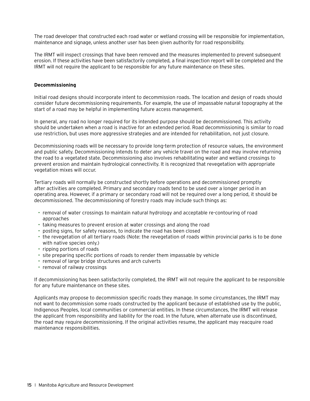The road developer that constructed each road water or wetland crossing will be responsible for implementation, maintenance and signage, unless another user has been given authority for road responsibility.

The IRMT will inspect crossings that have been removed and the measures implemented to prevent subsequent erosion. If these activities have been satisfactorily completed, a final inspection report will be completed and the IRMT will not require the applicant to be responsible for any future maintenance on these sites.

#### **Decommissioning**

Initial road designs should incorporate intent to decommission roads. The location and design of roads should consider future decommissioning requirements. For example, the use of impassable natural topography at the start of a road may be helpful in implementing future access management.

In general, any road no longer required for its intended purpose should be decommissioned. This activity should be undertaken when a road is inactive for an extended period. Road decommissioning is similar to road use restriction, but uses more aggressive strategies and are intended for rehabilitation, not just closure.

Decommissioning roads will be necessary to provide long-term protection of resource values, the environment and public safety. Decommissioning intends to deter any vehicle travel on the road and may involve returning the road to a vegetated state. Decommissioning also involves rehabilitating water and wetland crossings to prevent erosion and maintain hydrological connectivity. It is recognized that revegetation with appropriate vegetation mixes will occur.

Tertiary roads will normally be constructed shortly before operations and decommissioned promptly after activities are completed. Primary and secondary roads tend to be used over a longer period in an operating area. However, if a primary or secondary road will not be required over a long period, it should be decommissioned. The decommissioning of forestry roads may include such things as:

- removal of water crossings to maintain natural hydrology and acceptable re-contouring of road approaches
- taking measures to prevent erosion at water crossings and along the road
- posting signs, for safety reasons, to indicate the road has been closed
- the revegetation of all tertiary roads (Note: the revegetation of roads within provincial parks is to be done with native species only.)
- ripping portions of roads
- site preparing specific portions of roads to render them impassable by vehicle
- removal of large bridge structures and arch culverts
- removal of railway crossings

If decommissioning has been satisfactorily completed, the IRMT will not require the applicant to be responsible for any future maintenance on these sites.

Applicants may propose to decommission specific roads they manage. In some circumstances, the IRMT may not want to decommission some roads constructed by the applicant because of established use by the public, Indigenous Peoples, local communities or commercial entities. In these circumstances, the IRMT will release the applicant from responsibility and liability for the road. In the future, when alternate use is discontinued, the road may require decommissioning. If the original activities resume, the applicant may reacquire road maintenance responsibilities.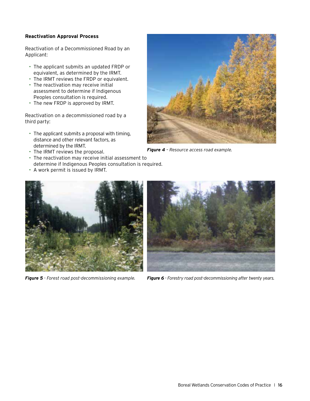#### **Reactivation Approval Process**

Reactivation of a Decommissioned Road by an Applicant:

- The applicant submits an updated FRDP or equivalent, as determined by the IRMT.
- The IRMT reviews the FRDP or equivalent.
- The reactivation may receive initial assessment to determine if Indigenous Peoples consultation is required.
- The new FRDP is approved by IRMT.

Reactivation on a decommissioned road by a third party:

- The applicant submits a proposal with timing, distance and other relevant factors, as determined by the IRMT.
- The IRMT reviews the proposal.
- The reactivation may receive initial assessment to determine if Indigenous Peoples consultation is required.
- A work permit is issued by IRMT.



*Figure 4 – Resource access road example.*





*Figure 5 - Forest road post-decommissioning example. Figure 6 - Forestry road post-decommissioning after twenty years.*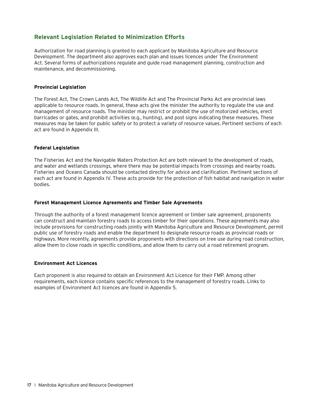### **Relevant Legislation Related to Minimization Efforts**

Authorization for road planning is granted to each applicant by Manitoba Agriculture and Resource Development. The department also approves each plan and issues licences under The Environment Act. Several forms of authorizations regulate and guide road management planning, construction and maintenance, and decommissioning.

#### **Provincial Legislation**

The Forest Act, The Crown Lands Act, The Wildlife Act and The Provincial Parks Act are provincial laws applicable to resource roads. In general, these acts give the minister the authority to regulate the use and management of resource roads. The minister may restrict or prohibit the use of motorized vehicles, erect barricades or gates, and prohibit activities (e.g., hunting), and post signs indicating these measures. These measures may be taken for public safety or to protect a variety of resource values. Pertinent sections of each act are found in Appendix III.

#### **Federal Legislation**

The Fisheries Act and the Navigable Waters Protection Act are both relevant to the development of roads, and water and wetlands crossings, where there may be potential impacts from crossings and nearby roads. Fisheries and Oceans Canada should be contacted directly for advice and clarification. Pertinent sections of each act are found in Appendix IV. These acts provide for the protection of fish habitat and navigation in water bodies.

#### **Forest Management Licence Agreements and Timber Sale Agreements**

Through the authority of a forest management licence agreement or timber sale agreement, proponents can construct and maintain forestry roads to access timber for their operations. These agreements may also include provisions for constructing roads jointly with Manitoba Agriculture and Resource Development, permit public use of forestry roads and enable the department to designate resource roads as provincial roads or highways. More recently, agreements provide proponents with directions on tree use during road construction, allow them to close roads in specific conditions, and allow them to carry out a road retirement program.

#### **Environment Act Licences**

Each proponent is also required to obtain an Environment Act Licence for their FMP. Among other requirements, each licence contains specific references to the management of forestry roads. Links to examples of Environment Act licences are found in Appendix 5.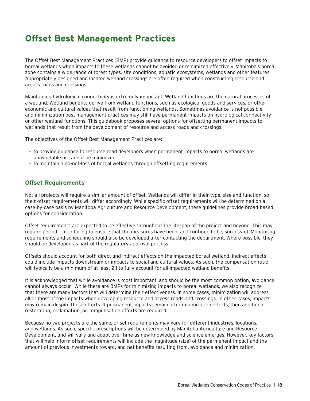# **Offset Best Management Practices**

The Offset Best Management Practices (BMP) provide guidance to resource developers to offset impacts to boreal wetlands when impacts to these wetlands cannot be avoided or minimized effectively. Manitoba's boreal zone contains a wide range of forest types, site conditions, aquatic ecosystems, wetlands and other features. Appropriately designed and located wetland crossings are often required when constructing resource and access roads and crossings.

Maintaining hydrological connectivity is extremely important. Wetland functions are the natural processes of a wetland. Wetland benefits derive from wetland functions, such as ecological goods and services, or other economic and cultural values that result from functioning wetlands. Sometimes avoidance is not possible and minimization best management practices may still have permanent impacts on hydrological connectivity or other wetland functions. This guidebook proposes several options for offsetting permanent impacts to wetlands that result from the development of resource and access roads and crossings.

The objectives of the Offset Best Management Practices are:

- to provide guidance to resource road developers when permanent impacts to boreal wetlands are unavoidable or cannot be minimized
- to maintain a no-net-loss of boreal wetlands through offsetting requirements

#### **Offset Requirements**

Not all projects will require a similar amount of offset. Wetlands will differ in their type, size and function, so their offset requirements will differ accordingly. While specific offset requirements will be determined on a case-by-case basis by Manitoba Agriculture and Resource Development, these guidelines provide broad-based options for consideration.

Offset requirements are expected to be effective throughout the lifespan of the project and beyond. This may require periodic monitoring to ensure that the measures have been, and continue to be, successful. Monitoring requirements and scheduling should also be developed after contacting the department. Where possible, they should be developed as part of the regulatory approval process.

Offsets should account for both direct and indirect effects on the impacted boreal wetland. Indirect effects could include impacts downstream or impacts to social and cultural values. As such, the compensation ratio will typically be a minimum of at least 2:1 to fully account for all impacted wetland benefits.

It is acknowledged that while avoidance is most important, and should be the most common option, avoidance cannot always occur. While there are BMPs for minimizing impacts to boreal wetlands, we also recognize that there are many factors that will determine their effectiveness. In some cases, minimization will address all or most of the impacts when developing resource and access roads and crossings. In other cases, impacts may remain despite these efforts. If permanent impacts remain after minimization efforts, then additional restoration, reclamation, or compensation efforts are required.

Because no two projects are the same, offset requirements may vary for different industries, locations, and wetlands. As such, specific prescriptions will be determined by Manitoba Agriculture and Resource Development, and will vary and adapt over time as new knowledge and science emerges. However, key factors that will help inform offset requirements will include the magnitude (size) of the permanent impact and the amount of previous investments toward, and net benefits resulting from, avoidance and minimization.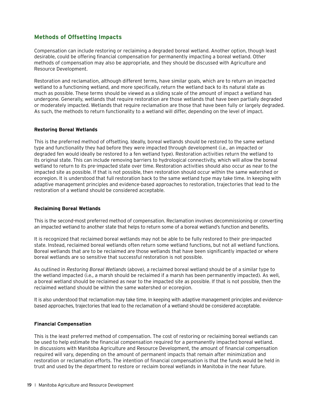### **Methods of Offsetting Impacts**

Compensation can include restoring or reclaiming a degraded boreal wetland. Another option, though least desirable, could be offering financial compensation for permanently impacting a boreal wetland. Other methods of compensation may also be appropriate, and they should be discussed with Agriculture and Resource Development.

Restoration and reclamation, although different terms, have similar goals, which are to return an impacted wetland to a functioning wetland, and more specifically, return the wetland back to its natural state as much as possible. These terms should be viewed as a sliding scale of the amount of impact a wetland has undergone. Generally, wetlands that require restoration are those wetlands that have been partially degraded or moderately impacted. Wetlands that require reclamation are those that have been fully or largely degraded. As such, the methods to return functionality to a wetland will differ, depending on the level of impact.

#### **Restoring Boreal Wetlands**

This is the preferred method of offsetting. Ideally, boreal wetlands should be restored to the same wetland type and functionality they had before they were impacted through development (i.e., an impacted or degraded fen would ideally be restored to a fen wetland type). Restoration activities return the wetland to its original state. This can include removing barriers to hydrological connectivity, which will allow the boreal wetland to return to its pre-impacted state over time. Restoration activities should also occur as near to the impacted site as possible. If that is not possible, then restoration should occur within the same watershed or ecoregion. It is understood that full restoration back to the same wetland type may take time. In keeping with adaptive management principles and evidence-based approaches to restoration, trajectories that lead to the restoration of a wetland should be considered acceptable.

#### **Reclaiming Boreal Wetlands**

This is the second-most preferred method of compensation. Reclamation involves decommissioning or converting an impacted wetland to another state that helps to return some of a boreal wetland's function and benefits.

It is recognized that reclaimed boreal wetlands may not be able to be fully restored to their pre-impacted state. Instead, reclaimed boreal wetlands often return some wetland functions, but not all wetland functions. Boreal wetlands that are to be reclaimed are those wetlands that have been significantly impacted or where boreal wetlands are so sensitive that successful restoration is not possible.

As outlined in *Restoring Boreal Wetlands* (above), a reclaimed boreal wetland should be of a similar type to the wetland impacted (i.e., a marsh should be reclaimed if a marsh has been permanently impacted). As well, a boreal wetland should be reclaimed as near to the impacted site as possible. If that is not possible, then the reclaimed wetland should be within the same watershed or ecoregion.

It is also understood that reclamation may take time. In keeping with adaptive management principles and evidencebased approaches, trajectories that lead to the reclamation of a wetland should be considered acceptable.

#### **Financial Compensation**

This is the least preferred method of compensation. The cost of restoring or reclaiming boreal wetlands can be used to help estimate the financial compensation required for a permanently impacted boreal wetland. In discussions with Manitoba Agriculture and Resource Development, the amount of financial compensation required will vary, depending on the amount of permanent impacts that remain after minimization and restoration or reclamation efforts. The intention of financial compensation is that the funds would be held in trust and used by the department to restore or reclaim boreal wetlands in Manitoba in the near future.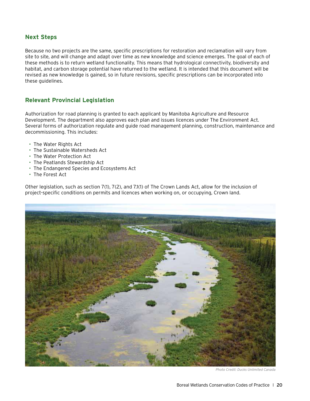### **Next Steps**

Because no two projects are the same, specific prescriptions for restoration and reclamation will vary from site to site, and will change and adapt over time as new knowledge and science emerges. The goal of each of these methods is to return wetland functionality. This means that hydrological connectivity, biodiversity and habitat, and carbon storage potential have returned to the wetland. It is intended that this document will be revised as new knowledge is gained, so in future revisions, specific prescriptions can be incorporated into these guidelines.

### **Relevant Provincial Legislation**

Authorization for road planning is granted to each applicant by Manitoba Agriculture and Resource Development. The department also approves each plan and issues licences under The Environment Act. Several forms of authorization regulate and guide road management planning, construction, maintenance and decommissioning. This includes:

- The Water Rights Act
- The Sustainable Watersheds Act
- The Water Protection Act
- The Peatlands Stewardship Act
- The Endangered Species and Ecosystems Act
- The Forest Act

Other legislation, such as section 7(1), 7(2), and 7.1(1) of The Crown Lands Act, allow for the inclusion of project-specific conditions on permits and licences when working on, or occupying, Crown land.



*Photo Credit: Ducks Unlimited Canada*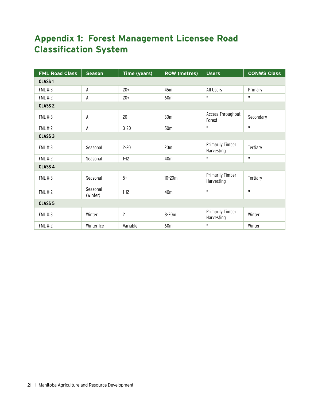# **Appendix 1: Forest Management Licensee Road Classification System**

| <b>FML Road Class</b> | <b>Season</b>        | <b>Time (years)</b> | <b>ROW (metres)</b> | <b>Users</b>                          | <b>CONWS Class</b> |
|-----------------------|----------------------|---------------------|---------------------|---------------------------------------|--------------------|
| <b>CLASS1</b>         |                      |                     |                     |                                       |                    |
| <b>FML #3</b>         | All                  | $20+$               | 45m                 | All Users                             | Primary            |
| <b>FML #2</b>         | All                  | $20+$               | 60m                 | П.                                    | $\mathbf{H}$       |
| CLASS <sub>2</sub>    |                      |                     |                     |                                       |                    |
| <b>FML #3</b>         | All                  | 20                  | 30m                 | Access Throughout<br>Forest           | Secondary          |
| <b>FML #2</b>         | All                  | $3 - 20$            | 50 <sub>m</sub>     | П.                                    | $\mathbf H$        |
| CLASS <sub>3</sub>    |                      |                     |                     |                                       |                    |
| <b>FML #3</b>         | Seasonal             | $2 - 20$            | 20m                 | <b>Primarily Timber</b><br>Harvesting | Tertiary           |
| <b>FML #2</b>         | Seasonal             | $1 - 12$            | 40m                 | П.                                    | $\mathbf{H}$       |
| CLASS <sub>4</sub>    |                      |                     |                     |                                       |                    |
| <b>FML #3</b>         | Seasonal             | $5+$                | $10 - 20m$          | <b>Primarily Timber</b><br>Harvesting | Tertiary           |
| <b>FML #2</b>         | Seasonal<br>(Winter) | $1 - 12$            | 40m                 | П                                     | $\mathbf{H}$       |
| <b>CLASS 5</b>        |                      |                     |                     |                                       |                    |
| <b>FML #3</b>         | Winter               | $\mathbf{2}$        | $8 - 20m$           | <b>Primarily Timber</b><br>Harvesting | Winter             |
| <b>FML #2</b>         | Winter Ice           | Variable            | 60m                 | П                                     | Winter             |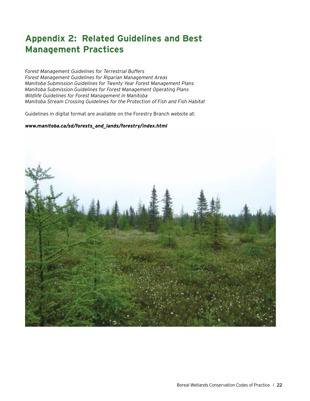# **Appendix 2: Related Guidelines and Best Management Practices**

*Forest Management Guidelines for Terrestrial Buffers Forest Management Guidelines for Riparian Management Areas Manitoba Submission Guidelines for Twenty Year Forest Management Plans Manitoba Submission Guidelines for Forest Management Operating Plans Wildlife Guidelines for Forest Management in Manitoba Manitoba Stream Crossing Guidelines for the Protection of Fish and Fish Habitat*

Guidelines in digital format are available on the Forestry Branch website at:

#### *www.manitoba.ca/sd/forests\_and\_lands/forestry/index.html*

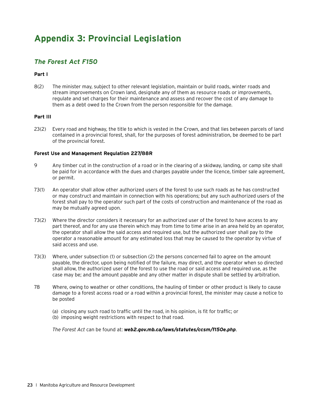# **Appendix 3: Provincial Legislation**

# *The Forest Act F150*

#### **Part I**

8(2) The minister may, subject to other relevant legislation, maintain or build roads, winter roads and stream improvements on Crown land, designate any of them as resource roads or improvements, regulate and set charges for their maintenance and assess and recover the cost of any damage to them as a debt owed to the Crown from the person responsible for the damage.

#### **Part III**

23(2) Every road and highway, the title to which is vested in the Crown, and that lies between parcels of land contained in a provincial forest, shall, for the purposes of forest administration, be deemed to be part of the provincial forest.

#### **Forest Use and Management Regulation 227/88R**

- 9 Any timber cut in the construction of a road or in the clearing of a skidway, landing, or camp site shall be paid for in accordance with the dues and charges payable under the licence, timber sale agreement, or permit.
- 73(1) An operator shall allow other authorized users of the forest to use such roads as he has constructed or may construct and maintain in connection with his operations; but any such authorized users of the forest shall pay to the operator such part of the costs of construction and maintenance of the road as may be mutually agreed upon.
- 73(2) Where the director considers it necessary for an authorized user of the forest to have access to any part thereof, and for any use therein which may from time to time arise in an area held by an operator, the operator shall allow the said access and required use, but the authorized user shall pay to the operator a reasonable amount for any estimated loss that may be caused to the operator by virtue of said access and use.
- 73(3) Where, under subsection (1) or subsection (2) the persons concerned fail to agree on the amount payable, the director, upon being notified of the failure, may direct, and the operator when so directed shall allow, the authorized user of the forest to use the road or said access and required use, as the case may be; and the amount payable and any other matter in dispute shall be settled by arbitration.
- 78 Where, owing to weather or other conditions, the hauling of timber or other product is likely to cause damage to a forest access road or a road within a provincial forest, the minister may cause a notice to be posted
	- (a) closing any such road to traffic until the road, in his opinion, is fit for traffic; or
	- (b) imposing weight restrictions with respect to that road.

*The Forest Act* can be found at: *[web2.gov.mb.ca/laws/statutes/ccsm/f150e.php](http://web2.gov.mb.ca/laws/statutes/ccsm/f150e.php)*.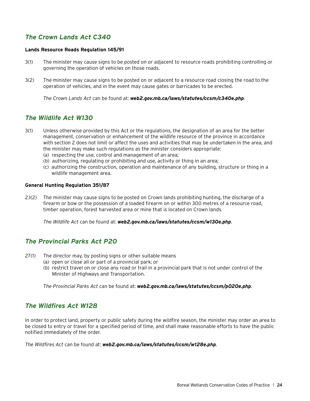## *The Crown Lands Act C340*

#### **Lands Resource Roads Regulation 145/91**

- 3(1) The minister may cause signs to be posted on or adjacent to resource roads prohibiting controlling or governing the operation of vehicles on those roads.
- 3(2) The minister may cause signs to be posted on or adjacent to a resource road closing the road to the operation of vehicles, and in the event may cause gates or barricades to be erected.

*The Crown Lands Act* can be found at: *[web2.gov.mb.ca/laws/statutes/ccsm/c340e.php](http://web2.gov.mb.ca/laws/statutes/ccsm/c340e.php)*.

### *The Wildlife Act W130*

- 3(1) Unless otherwise provided by this Act or the regulations, the designation of an area for the better management, conservation or enhancement of the wildlife resource of the province in accordance with section 2 does not limit or affect the uses and activities that may be undertaken in the area, and the minister may make such regulations as the minister considers appropriate: (a) respecting the use, control and management of an area;
	- (b) authorizing, regulating or prohibiting and use, activity or thing in an area;
	- (c) authorizing the construction, operation and maintenance of any building, structure or thing in a wildlife management area.

#### **General Hunting Regulation 351/87**

2.1(2) The minister may cause signs to be posted on Crown lands prohibiting hunting, the discharge of a firearm or bow or the possession of a loaded firearm on or within 300 metres of a resource road, timber operation, forest harvested area or mine that is located on Crown lands.

*The Wildlife Act* can be found at: *[web2.gov.mb.ca/laws/statutes/ccsm/w130e.php](http://web2.gov.mb.ca/laws/statutes/ccsm/w130e.php)*.

### *The Provincial Parks Act P20*

- 27(1) The director may, by posting signs or other suitable means
	- (a) open or close all or part of a provincial park; or
	- (b) restrict travel on or close any road or trail in a provincial park that is not under control of the Minister of Highways and Transportation.

*The Provincial Parks Act* can be found at: *[web2.gov.mb.ca/laws/statutes/ccsm/p020e.php](http://web2.gov.mb.ca/laws/statutes/ccsm/p020e.php)*.

### *The Wildfires Act W128*

In order to protect land, property or public safety during the wildfire season, the minister may order an area to be closed to entry or travel for a specified period of time, and shall make reasonable efforts to have the public notified immediately of the order.

*The Wildfires Act* can be found at: *[web2.gov.mb.ca/laws/statutes/ccsm/w128e.php](http://web2.gov.mb.ca/laws/statutes/ccsm/w128e.php)*.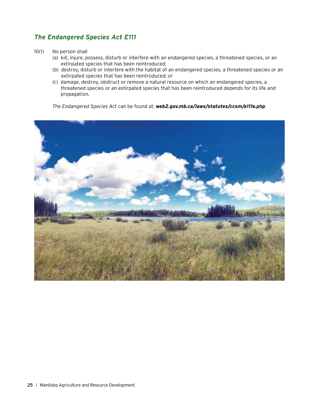## *The Endangered Species Act E111*

- 10(1) No person shall
	- (a) kill, injure, possess, disturb or interfere with an endangered species, a threatened species, or an extirpated species that has been reintroduced;
	- (b) destroy, disturb or interfere with the habitat of an endangered species, a threatened species or an extirpated species that has been reintroduced; or
	- (c) damage, destroy, obstruct or remove a natural resource on which an endangered species, a threatened species or an extirpated species that has been reintroduced depends for its life and propagation.

*The Endangered Species Act* can be found at: *[web2.gov.mb.ca/laws/statutes/ccsm/e111e.php](http://web2.gov.mb.ca/laws/statutes/ccsm/e111e.php)*.

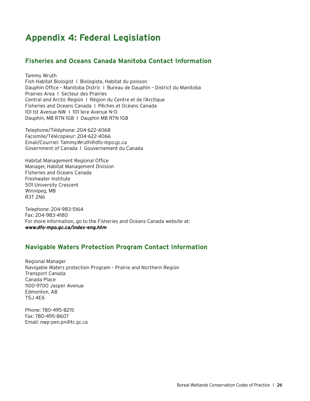# **Appendix 4: Federal Legislation**

### **Fisheries and Oceans Canada Manitoba Contact Information**

Tammy Wruth Fish Habitat Biologist I Biologiste, Habitat du poisson Dauphin Office – Manitoba Distric I Bureau de Dauphin – District du Manitoba Prairies Area I Secteur des Prairies Central and Arctic Region I Région du Centre et de l'Arctique Fisheries and Oceans Canada I Pêches et Océans Canada 101 1st Avenue NW I 101 1ere Avenue N-O Dauphin, MB R7N 1G8 I Dauphin MB R7N 1G8

Telephone/Téléphone: 204-622-4068 Facsimile/Télécopieur: 204-622-4066 Email/Courriel: [Tammy.Wruth@dfo-mpo.gc.ca](mailto:Tammy.Wruth%40dfo-mpo.gc.ca?subject=) Government of Canada I Gouvernement du Canada

Habitat Management Regional Office Manager, Habitat Management Division Fisheries and Oceans Canada Freshwater Institute 501 University Crescent Winnipeg, MB R3T 2N6

Telephone: 204-983-5164 Fax: 204-983-4180 For more information, go to the Fisheries and Oceans Canada website at: *[www.dfo-mpo.gc.ca/index-eng.htm](http://www.dfo-mpo.gc.ca/index-eng.htm)*

### **Navigable Waters Protection Program Contact Information**

Regional Manager Navigable Waters protection Program – Prairie and Northern Region Transport Canada Canada Place 1100-9700 Jasper Avenue Edmonton, AB T5J 4E6

Phone: 780-495-8215 Fax: 780-495-8607 Email: [nwp-pen.pn@tc.gc.ca](mailto:nwp-pen.pn%40tc.gc.ca?subject=)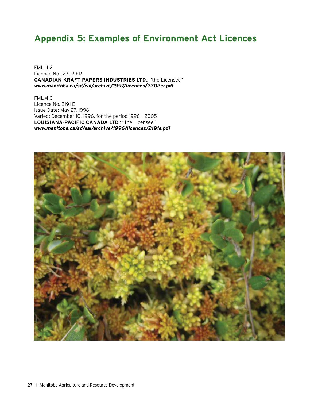# **Appendix 5: Examples of Environment Act Licences**

FML # 2 Licence No.: 2302 ER **CANADIAN KRAFT PAPERS INDUSTRIES LTD**.: "the Licensee" *[www.manitoba.ca/sd/eal/archive/1997/licences/2302er.pdf](http://www.manitoba.ca/sd/eal/archive/1997/licences/2302er.pdf)*

 $FML \# 3$ Licence No. 2191 E Issue Date: May 27, 1996 Varied: December 10, 1996, for the period 1996 – 2005 **LOUISIANA-PACIFIC CANADA LTD**.: "the Licensee" *[www.manitoba.ca/sd/eal/archive/1996/licences/2191e.pdf](http://www.manitoba.ca/sd/eal/archive/1996/licences/2191e.pdf)*

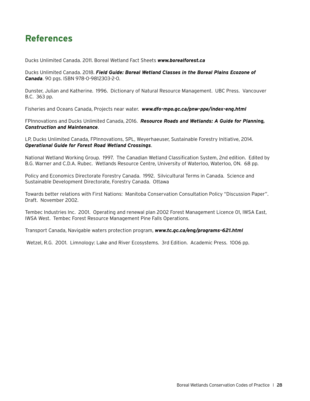# **References**

Ducks Unlimited Canada. 2011. Boreal Wetland Fact Sheets *[www.borealforest.ca](http://www.borealforest.ca)*

Ducks Unlimited Canada. 2018. *[Field Guide: Boreal Wetland Classes in the Boreal Plains Ecozone of](https://boreal.ducks.ca/publications/field-guide-of-boreal-wetland-classes-in-the-boreal-plains-ecozone-of-canada/)  [Canada](https://boreal.ducks.ca/publications/field-guide-of-boreal-wetland-classes-in-the-boreal-plains-ecozone-of-canada/)*. 90 pgs. ISBN 978-0-9812303-2-0.

Dunster, Julian and Katherine. 1996. Dictionary of Natural Resource Management. UBC Press. Vancouver B.C. 363 pp.

Fisheries and Oceans Canada, Projects near water. *[www.dfo-mpo.gc.ca/pnw-ppe/index-eng.html](http://www.dfo-mpo.gc.ca/pnw-ppe/index-eng.html)*

FPInnovations and Ducks Unlimited Canada, 2016. *[Resource Roads and Wetlands: A Guide for Planning,](https://boreal.ducks.ca/publications/resource-roads-and-wetlands-a-guide-for-planning-construction-and-maintenance/)  [Construction and Maintenance](https://boreal.ducks.ca/publications/resource-roads-and-wetlands-a-guide-for-planning-construction-and-maintenance/)*.

LP, Ducks Unlimited Canada, FPInnovations, SPL, Weyerhaeuser, Sustainable Forestry Initiative, 2014. *[Operational Guide for Forest Road Wetland Crossings](https://boreal.ducks.ca/publications/operational-guide-for-forest-road-wetland-crossings/)*.

National Wetland Working Group. 1997. The Canadian Wetland Classification System, 2nd edition. Edited by B.G. Warner and C.D.A. Rubec. Wetlands Resource Centre, University of Waterloo, Waterloo, ON. 68 pp.

Policy and Economics Directorate Forestry Canada. 1992. Silvicultural Terms in Canada. Science and Sustainable Development Directorate, Forestry Canada. Ottawa

Towards better relations with First Nations: Manitoba Conservation Consultation Policy "Discussion Paper". Draft. November 2002.

Tembec Industries Inc. 2001. Operating and renewal plan 2002 Forest Management Licence 01, IWSA East, IWSA West. Tembec Forest Resource Management Pine Falls Operations.

Transport Canada, Navigable waters protection program, *[www.tc.gc.ca/eng/programs-621.html](http://www.tc.gc.ca/eng/programs-621.html)*

Wetzel, R.G. 2001. Limnology: Lake and River Ecosystems. 3rd Edition. Academic Press. 1006 pp.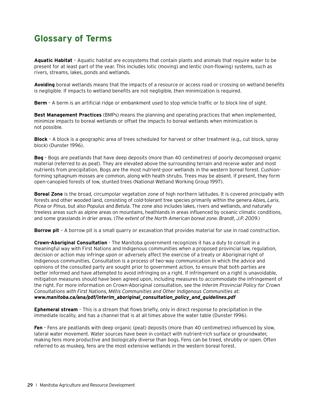# **Glossary of Terms**

**Aquatic Habitat** – Aquatic habitat are ecosystems that contain plants and animals that require water to be present for at least part of the year. This includes lotic (moving) and lentic (non-flowing) systems, such as rivers, streams, lakes, ponds and wetlands.

**Avoiding** boreal wetlands means that the impacts of a resource or access road or crossing on wetland benefits is negligible. If impacts to wetland benefits are not negligible, then minimization is required.

**Berm** – A berm is an artificial ridge or embankment used to stop vehicle traffic or to block line of sight.

**Best Management Practices** (BMPs) means the planning and operating practices that when implemented, minimize impacts to boreal wetlands or offset the impacts to boreal wetlands when minimization is not possible.

**Block** – A block is a geographic area of trees scheduled for harvest or other treatment (e.g., cut block, spray block) (Dunster 1996).

**Bog** – Bogs are peatlands that have deep deposits (more than 40 centimetres) of poorly decomposed organic material (referred to as peat). They are elevated above the surrounding terrain and receive water and most nutrients from precipitation. Bogs are the most nutrient-poor wetlands in the western boreal forest. Cushionforming sphagnum mosses are common, along with heath shrubs. Trees may be absent. If present, they form open-canopied forests of low, stunted trees (National Wetland Working Group 1997).

**Boreal Zone** is the broad, circumpolar vegetation zone of high northern latitudes. It is covered principally with forests and other wooded land, consisting of cold-tolerant tree species primarily within the genera *Abies, Larix, Picea* or *Pinus*, but also *Populus* and *Betula*. The zone also includes lakes, rivers and wetlands, and naturally treeless areas such as alpine areas on mountains, heathlands in areas influenced by oceanic climatic conditions, and some grasslands in drier areas. (*The extent of the North American boreal zone. Brandt, J.P. 2009.*)

**Borrow pit** – A borrow pit is a small quarry or excavation that provides material for use in road construction.

**Crown-Aboriginal Consultation** - The Manitoba government recognizes it has a duty to consult in a meaningful way with First Nations and Indigenous communities when a proposed provincial law, regulation, decision or action may infringe upon or adversely affect the exercise of a treaty or Aboriginal right of Indigenous communities. Consultation is a process of two-way communication in which the advice and opinions of the consulted party are sought prior to government action, to ensure that both parties are better informed and have attempted to avoid infringing on a right. If infringement on a right is unavoidable, mitigation measures should have been agreed upon, including measures to accommodate the infringement of the right. For more information on Crown-Aboriginal consultation, see the *Interim Provincial Policy for Crown Consultations with First Nations, Métis Communities and Other Indigenous Communities* at: *[www.manitoba.ca/ana/pdf/interim\\_aboriginal\\_consultation\\_policy\\_and\\_guidelines.pdf](http://www.manitoba.ca/ana/pdf/interim_aboriginal_consultation_policy_and_guidelines.pdf)*

**Ephemeral stream** – This is a stream that flows briefly, only in direct response to precipitation in the immediate locality, and has a channel that is at all times above the water table (Dunster 1996).

**Fen** – Fens are peatlands with deep organic (peat) deposits (more than 40 centimetres) influenced by slow, lateral water movement. Water sources have been in contact with nutrient-rich surface or groundwater, making fens more productive and biologically diverse than bogs. Fens can be treed, shrubby or open. Often referred to as muskeg, fens are the most extensive wetlands in the western boreal forest.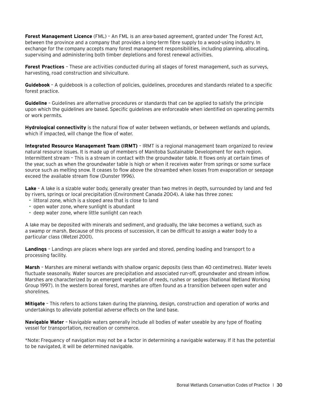**Forest Management Licence** (FML) – An FML is an area-based agreement, granted under The Forest Act, between the province and a company that provides a long-term fibre supply to a wood-using industry. In exchange for the company accepts many forest management responsibilities, including planning, allocating, supervising and administering both timber depletions and forest renewal activities.

**Forest Practices** – These are activities conducted during all stages of forest management, such as surveys, harvesting, road construction and silviculture.

**Guidebook** – A guidebook is a collection of policies, guidelines, procedures and standards related to a specific forest practice.

**Guideline** – Guidelines are alternative procedures or standards that can be applied to satisfy the principle upon which the guidelines are based. Specific guidelines are enforceable when identified on operating permits or work permits.

**Hydrological connectivity** is the natural flow of water between wetlands, or between wetlands and uplands, which if impacted, will change the flow of water.

**Integrated Resource Management Team (IRMT)** – IRMT is a regional management team organized to review natural resource issues. It is made up of members of Manitoba Sustainable Development for each region. Intermittent stream – This is a stream in contact with the groundwater table. It flows only at certain times of the year, such as when the groundwater table is high or when it receives water from springs or some surface source such as melting snow. It ceases to flow above the streambed when losses from evaporation or seepage exceed the available stream flow (Dunster 1996).

**Lake** – A lake is a sizable water body, generally greater than two metres in depth, surrounded by land and fed by rivers, springs or local precipitation (Environment Canada 2004). A lake has three zones:

- littoral zone, which is a sloped area that is close to land
- open water zone, where sunlight is abundant
- deep water zone, where little sunlight can reach

A lake may be deposited with minerals and sediment, and gradually, the lake becomes a wetland, such as a swamp or marsh. Because of this process of succession, it can be difficult to assign a water body to a particular class (Wetzel 2001).

**Landings** – Landings are places where logs are yarded and stored, pending loading and transport to a processing facility.

**Marsh** – Marshes are mineral wetlands with shallow organic deposits (less than 40 centimetres). Water levels fluctuate seasonally. Water sources are precipitation and associated run-off, groundwater and stream inflow. Marshes are characterized by an emergent vegetation of reeds, rushes or sedges (National Wetland Working Group 1997). In the western boreal forest, marshes are often found as a transition between open water and shorelines.

**Mitigate** – This refers to actions taken during the planning, design, construction and operation of works and undertakings to alleviate potential adverse effects on the land base.

**Navigable Water** – Navigable waters generally include all bodies of water useable by any type of floating vessel for transportation, recreation or commerce.

\*Note: Frequency of navigation may not be a factor in determining a navigable waterway. If it has the potential to be navigated, it will be determined navigable.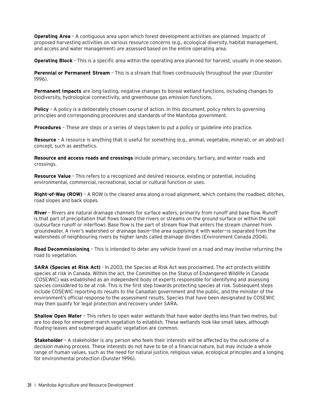**Operating Area** – A contiguous area upon which forest development activities are planned. Impacts of proposed harvesting activities on various resource concerns (e.g., ecological diversity, habitat management, and access and water management) are assessed based on the entire operating area.

**Operating Block** – This is a specific area within the operating area planned for harvest, usually in one season.

**Perennial or Permanent Stream** – This is a stream that flows continuously throughout the year (Dunster 1996).

**Permanent Impacts** are long-lasting, negative changes to boreal wetland functions, including changes to biodiversity, hydrological connectivity, and greenhouse gas emission functions.

**Policy** - A policy is a deliberately chosen course of action. In this document, policy refers to governing principles and corresponding procedures and standards of the Manitoba government.

**Procedures** – These are steps or a series of steps taken to put a policy or guideline into practice.

**Resource** – A resource is anything that is useful for something (e.g., animal, vegetable, mineral), or an abstract concept, such as aesthetics.

**Resource and access roads and crossings** include primary, secondary, tertiary, and winter roads and crossings.

**Resource Value** – This refers to a recognized and desired resource, existing or potential, including environmental, commercial, recreational, social or cultural function or uses.

**Right-of-Way (ROW)** – A ROW is the cleared area along a road alignment, which contains the roadbed, ditches, road slopes and back slopes.

**River** – Rivers are natural drainage channels for surface waters, primarily from runoff and base flow. Runoff is that part of precipitation that flows toward the rivers or streams on the ground surface or within the soil (subsurface runoff or interflow). Base flow is the part of stream flow that enters the stream channel from groundwater. A river's watershed or drainage basin—the area supplying it with water—is separated from the watersheds of neighbouring rivers by higher lands called drainage divides (Environment Canada 2004).

**Road Decommissioning** – This is intended to deter any vehicle travel on a road and may involve returning the road to vegetation.

**SARA (Species at Risk Act)** - In 2003, the Species at Risk Act was proclaimed. The act protects wildlife species at risk in Canada. Within the act, the Committee on the Status of Endangered Wildlife in Canada (COSEWIC) was established as an independent body of experts responsible for identifying and assessing species considered to be at risk. This is the first step towards protecting species at risk. Subsequent steps include COSEWIC reporting its results to the Canadian government and the public, and the minister of the environment's official response to the assessment results. Species that have been designated by COSEWIC may then qualify for legal protection and recovery under SARA.

**Shallow Open Water** – This refers to open water wetlands that have water depths less than two metres, but are too deep for emergent marsh vegetation to establish. These wetlands look like small lakes, although floating-leaves and submerged aquatic vegetation are common.

**Stakeholder** – A stakeholder is any person who feels their interests will be affected by the outcome of a decision making process. These interests do not have to be of a financial nature, but may include a whole range of human values, such as the need for natural justice, religious value, ecological principles and a longing for environmental protection (Dunster 1996).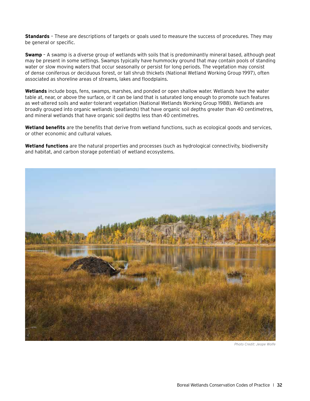**Standards** – These are descriptions of targets or goals used to measure the success of procedures. They may be general or specific.

**Swamp** – A swamp is a diverse group of wetlands with soils that is predominantly mineral based, although peat may be present in some settings. Swamps typically have hummocky ground that may contain pools of standing water or slow moving waters that occur seasonally or persist for long periods. The vegetation may consist of dense coniferous or deciduous forest, or tall shrub thickets (National Wetland Working Group 1997), often associated as shoreline areas of streams, lakes and floodplains.

**Wetlands** include bogs, fens, swamps, marshes, and ponded or open shallow water. Wetlands have the water table at, near, or above the surface, or it can be land that is saturated long enough to promote such features as wet-altered soils and water-tolerant vegetation (National Wetlands Working Group 1988). Wetlands are broadly grouped into organic wetlands (peatlands) that have organic soil depths greater than 40 centimetres, and mineral wetlands that have organic soil depths less than 40 centimetres.

**Wetland benefits** are the benefits that derive from wetland functions, such as ecological goods and services, or other economic and cultural values.

**Wetland functions** are the natural properties and processes (such as hydrological connectivity, biodiversity and habitat, and carbon storage potential) of wetland ecosystems.



*Photo Credit: Jeope Wolfe*